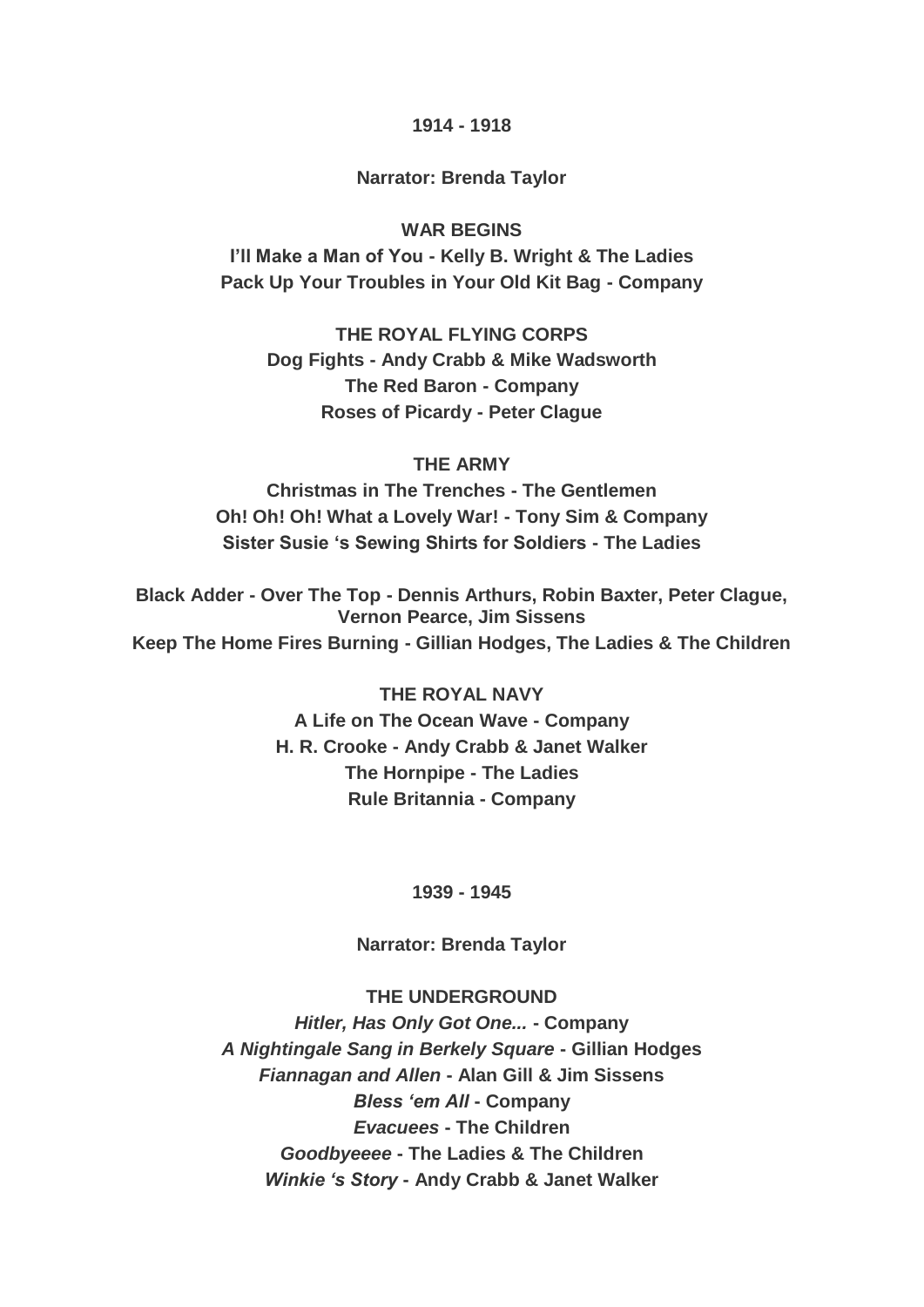#### **1914 - 1918**

#### **Narrator: Brenda Taylor**

### **WAR BEGINS**

**I'll Make a Man of You - Kelly B. Wright & The Ladies Pack Up Your Troubles in Your Old Kit Bag - Company**

**THE ROYAL FLYING CORPS Dog Fights - Andy Crabb & Mike Wadsworth The Red Baron - Company Roses of Picardy - Peter Clague**

#### **THE ARMY**

**Christmas in The Trenches - The Gentlemen Oh! Oh! Oh! What a Lovely War! - Tony Sim & Company Sister Susie 's Sewing Shirts for Soldiers - The Ladies**

**Black Adder - Over The Top - Dennis Arthurs, Robin Baxter, Peter Clague, Vernon Pearce, Jim Sissens Keep The Home Fires Burning - Gillian Hodges, The Ladies & The Children**

### **THE ROYAL NAVY**

**A Life on The Ocean Wave - Company H. R. Crooke - Andy Crabb & Janet Walker The Hornpipe - The Ladies Rule Britannia - Company**

**1939 - 1945**

**Narrator: Brenda Taylor**

#### **THE UNDERGROUND**

*Hitler, Has Only Got One...* **- Company** *A Nightingale Sang in Berkely Square* **- Gillian Hodges** *Fiannagan and Allen* **- Alan Gill & Jim Sissens** *Bless 'em All* **- Company** *Evacuees* **- The Children** *Goodbyeeee* **- The Ladies & The Children** *Winkie 's Story* **- Andy Crabb & Janet Walker**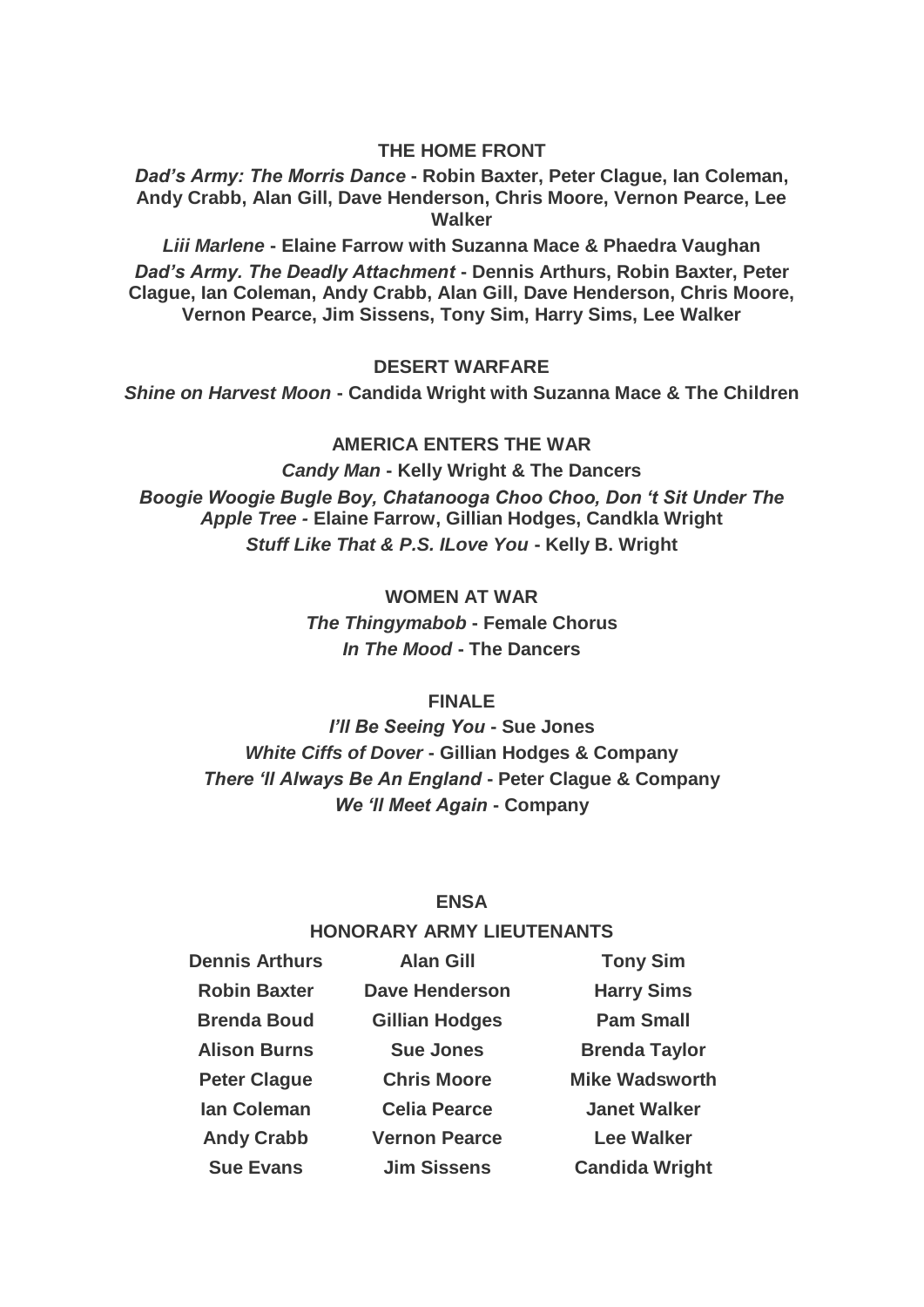#### **THE HOME FRONT**

*Dad's Army: The Morris Dance* **- Robin Baxter, Peter Clague, Ian Coleman, Andy Crabb, Alan Gill, Dave Henderson, Chris Moore, Vernon Pearce, Lee Walker**

*Liii Marlene* **- Elaine Farrow with Suzanna Mace & Phaedra Vaughan** *Dad's Army. The Deadly Attachment* **- Dennis Arthurs, Robin Baxter, Peter Clague, Ian Coleman, Andy Crabb, Alan Gill, Dave Henderson, Chris Moore, Vernon Pearce, Jim Sissens, Tony Sim, Harry Sims, Lee Walker**

#### **DESERT WARFARE**

*Shine on Harvest Moon* **- Candida Wright with Suzanna Mace & The Children**

#### **AMERICA ENTERS THE WAR**

*Candy Man* **- Kelly Wright & The Dancers** *Boogie Woogie Bugle Boy, Chatanooga Choo Choo, Don 't Sit Under The Apple Tree -* **Elaine Farrow, Gillian Hodges, Candkla Wright** *Stuff Like That & P.S. ILove You* **- Kelly B. Wright**

**WOMEN AT WAR**

*The Thingymabob* **- Female Chorus** *In The Mood* **- The Dancers**

#### **FINALE**

*I'll Be Seeing You* **- Sue Jones** *White Ciffs of Dover* **- Gillian Hodges & Company** *There 'll Always Be An England* **- Peter Clague & Company** *We 'll Meet Again* **- Company**

#### **ENSA**

#### **HONORARY ARMY LIEUTENANTS**

| <b>Dennis Arthurs</b> | <b>Alan Gill</b>      | <b>Tony Sim</b>       |
|-----------------------|-----------------------|-----------------------|
| <b>Robin Baxter</b>   | <b>Dave Henderson</b> | <b>Harry Sims</b>     |
| <b>Brenda Boud</b>    | <b>Gillian Hodges</b> | <b>Pam Small</b>      |
| <b>Alison Burns</b>   | <b>Sue Jones</b>      | <b>Brenda Taylor</b>  |
| <b>Peter Clague</b>   | <b>Chris Moore</b>    | <b>Mike Wadsworth</b> |
| <b>lan Coleman</b>    | <b>Celia Pearce</b>   | <b>Janet Walker</b>   |
| <b>Andy Crabb</b>     | <b>Vernon Pearce</b>  | <b>Lee Walker</b>     |
| <b>Sue Evans</b>      | <b>Jim Sissens</b>    | <b>Candida Wright</b> |
|                       |                       |                       |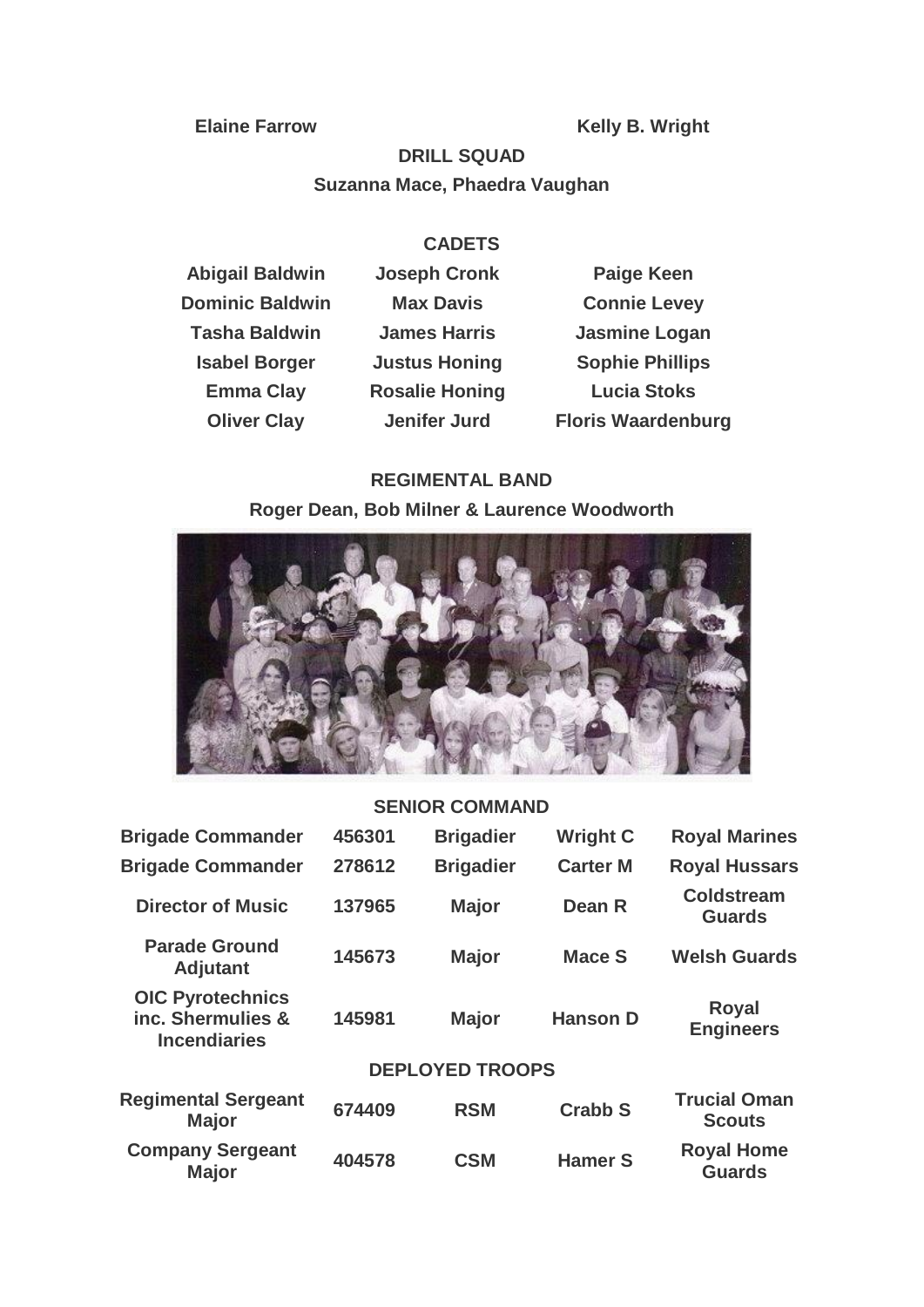**Elaine Farrow Kelly B. Wright**

# **DRILL SQUAD Suzanna Mace, Phaedra Vaughan**

# **CADETS**

| <b>Abigail Baldwin</b> | <b>Joseph Cronk</b>   | <b>Paige Keen</b>         |
|------------------------|-----------------------|---------------------------|
| <b>Dominic Baldwin</b> | <b>Max Davis</b>      | <b>Connie Levey</b>       |
| <b>Tasha Baldwin</b>   | <b>James Harris</b>   | <b>Jasmine Logan</b>      |
| <b>Isabel Borger</b>   | <b>Justus Honing</b>  | <b>Sophie Phillips</b>    |
| <b>Emma Clay</b>       | <b>Rosalie Honing</b> | <b>Lucia Stoks</b>        |
| <b>Oliver Clay</b>     | <b>Jenifer Jurd</b>   | <b>Floris Waardenburg</b> |

# **REGIMENTAL BAND**

**Roger Dean, Bob Milner & Laurence Woodworth**



## **SENIOR COMMAND**

| <b>Brigade Commander</b>                                            | 456301 | <b>Brigadier</b>       | <b>Wright C</b> | <b>Royal Marines</b>                 |
|---------------------------------------------------------------------|--------|------------------------|-----------------|--------------------------------------|
| <b>Brigade Commander</b>                                            | 278612 | <b>Brigadier</b>       | <b>Carter M</b> | <b>Royal Hussars</b>                 |
| <b>Director of Music</b>                                            | 137965 | <b>Major</b>           | Dean R          | <b>Coldstream</b><br><b>Guards</b>   |
| <b>Parade Ground</b><br><b>Adjutant</b>                             | 145673 | <b>Major</b>           | <b>Mace S</b>   | <b>Welsh Guards</b>                  |
| <b>OIC Pyrotechnics</b><br>inc. Shermulies &<br><b>Incendiaries</b> | 145981 | <b>Major</b>           | <b>Hanson D</b> | <b>Royal</b><br><b>Engineers</b>     |
|                                                                     |        | <b>DEPLOYED TROOPS</b> |                 |                                      |
| <b>Regimental Sergeant</b><br><b>Major</b>                          | 674409 | <b>RSM</b>             | <b>Crabb S</b>  | <b>Trucial Oman</b><br><b>Scouts</b> |
| <b>Company Sergeant</b><br><b>Major</b>                             | 404578 | <b>CSM</b>             | <b>Hamer S</b>  | <b>Royal Home</b><br><b>Guards</b>   |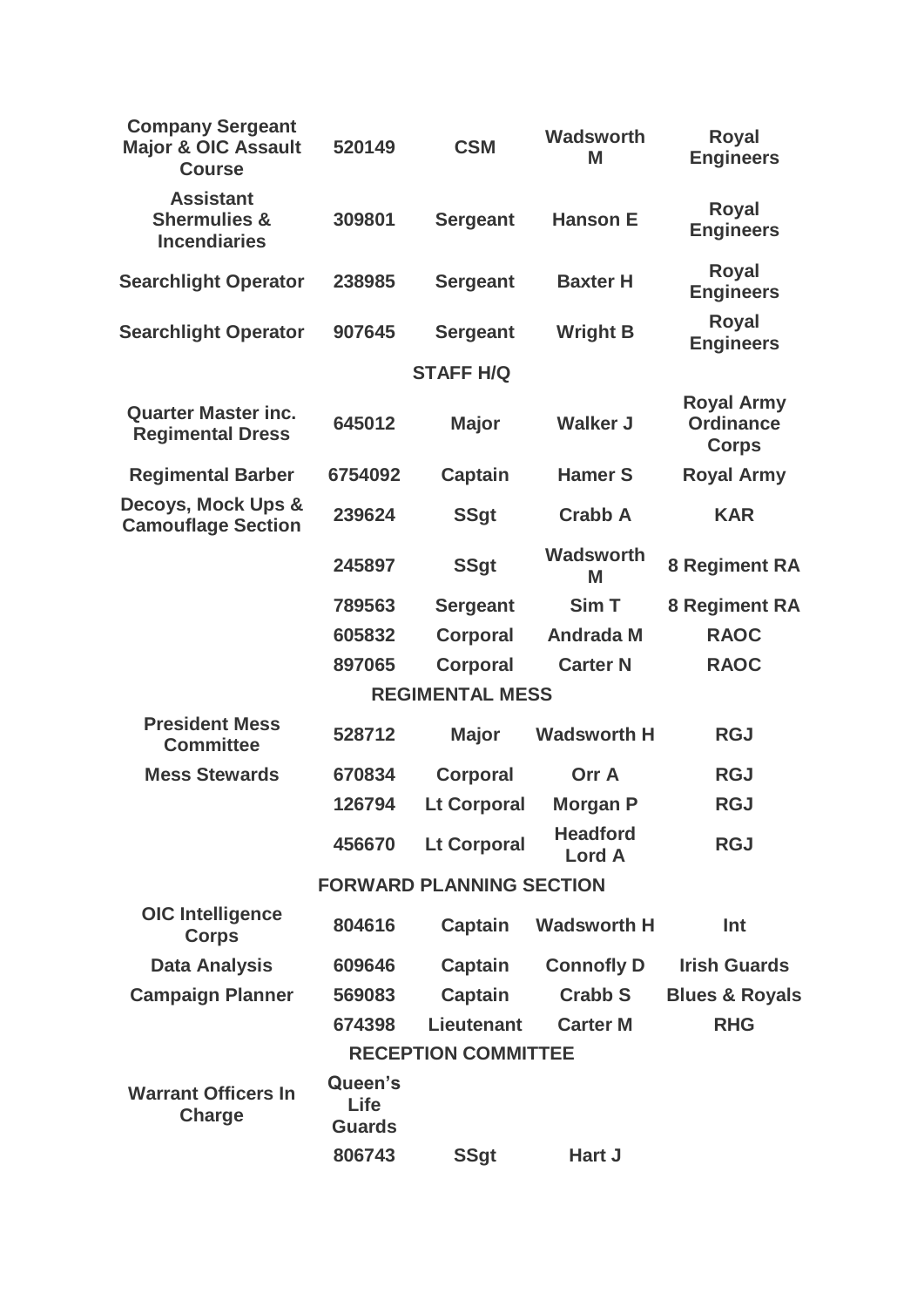| <b>Company Sergeant</b><br><b>Major &amp; OIC Assault</b><br><b>Course</b> | 520149                           | <b>CSM</b>                      | Wadsworth<br>M                   | <b>Royal</b><br><b>Engineers</b>                      |
|----------------------------------------------------------------------------|----------------------------------|---------------------------------|----------------------------------|-------------------------------------------------------|
| <b>Assistant</b><br><b>Shermulies &amp;</b><br><b>Incendiaries</b>         | 309801                           | <b>Sergeant</b>                 | <b>Hanson E</b>                  | <b>Royal</b><br><b>Engineers</b>                      |
| <b>Searchlight Operator</b>                                                | 238985                           | <b>Sergeant</b>                 | <b>Baxter H</b>                  | <b>Royal</b><br><b>Engineers</b>                      |
| <b>Searchlight Operator</b>                                                | 907645                           | <b>Sergeant</b>                 | <b>Wright B</b>                  | <b>Royal</b><br><b>Engineers</b>                      |
|                                                                            |                                  | <b>STAFF H/Q</b>                |                                  |                                                       |
| <b>Quarter Master inc.</b><br><b>Regimental Dress</b>                      | 645012                           | <b>Major</b>                    | <b>Walker J</b>                  | <b>Royal Army</b><br><b>Ordinance</b><br><b>Corps</b> |
| <b>Regimental Barber</b>                                                   | 6754092                          | <b>Captain</b>                  | <b>Hamer S</b>                   | <b>Royal Army</b>                                     |
| Decoys, Mock Ups &<br><b>Camouflage Section</b>                            | 239624                           | <b>SSgt</b>                     | <b>Crabb A</b>                   | <b>KAR</b>                                            |
|                                                                            | 245897                           | <b>SSgt</b>                     | <b>Wadsworth</b><br>M            | <b>8 Regiment RA</b>                                  |
|                                                                            | 789563                           | <b>Sergeant</b>                 | Sim T                            | <b>8 Regiment RA</b>                                  |
|                                                                            | 605832                           | <b>Corporal</b>                 | <b>Andrada M</b>                 | <b>RAOC</b>                                           |
|                                                                            | 897065                           | <b>Corporal</b>                 | <b>Carter N</b>                  | <b>RAOC</b>                                           |
|                                                                            |                                  | <b>REGIMENTAL MESS</b>          |                                  |                                                       |
| <b>President Mess</b><br><b>Committee</b>                                  | 528712                           | <b>Major</b>                    | <b>Wadsworth H</b>               | <b>RGJ</b>                                            |
| <b>Mess Stewards</b>                                                       | 670834                           | <b>Corporal</b>                 | <b>Orr A</b>                     | <b>RGJ</b>                                            |
|                                                                            | 126794                           | <b>Lt Corporal</b>              | <b>Morgan P</b>                  | <b>RGJ</b>                                            |
|                                                                            | 456670                           | <b>Lt Corporal</b>              | <b>Headford</b><br><b>Lord A</b> | <b>RGJ</b>                                            |
|                                                                            |                                  | <b>FORWARD PLANNING SECTION</b> |                                  |                                                       |
| <b>OIC</b> Intelligence<br><b>Corps</b>                                    | 804616                           | <b>Captain</b>                  | <b>Wadsworth H</b>               | Int                                                   |
| <b>Data Analysis</b>                                                       | 609646                           | <b>Captain</b>                  | <b>Connofly D</b>                | <b>Irish Guards</b>                                   |
| <b>Campaign Planner</b>                                                    | 569083                           | <b>Captain</b>                  | <b>Crabb S</b>                   | <b>Blues &amp; Royals</b>                             |
|                                                                            | 674398                           | Lieutenant                      | <b>Carter M</b>                  | <b>RHG</b>                                            |
|                                                                            |                                  | <b>RECEPTION COMMITTEE</b>      |                                  |                                                       |
| <b>Warrant Officers In</b><br><b>Charge</b>                                | Queen's<br>Life<br><b>Guards</b> |                                 |                                  |                                                       |
|                                                                            | 806743                           | <b>SSgt</b>                     | Hart J                           |                                                       |
|                                                                            |                                  |                                 |                                  |                                                       |